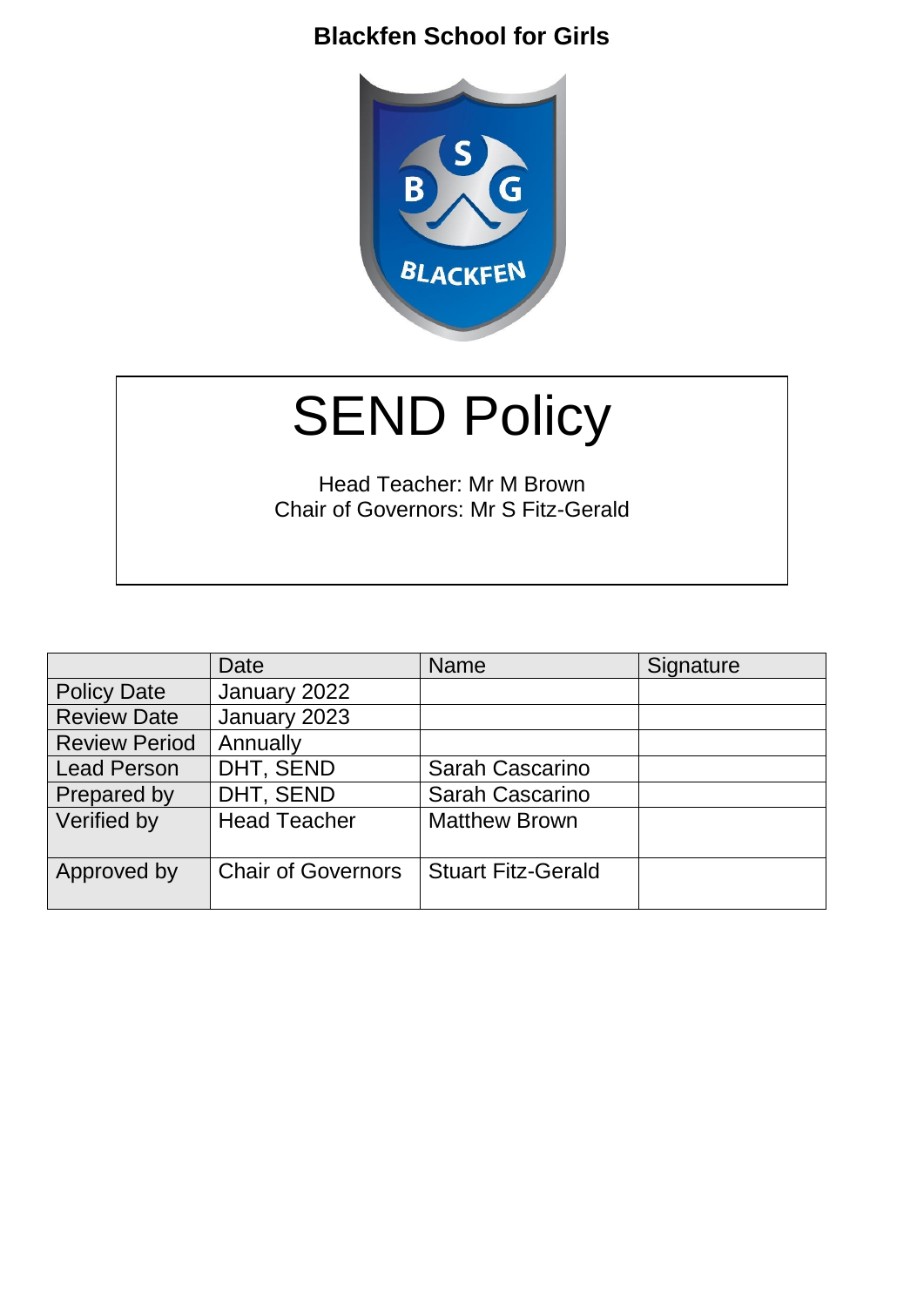

# **SEND Policy**

Head Teacher: Mr M Brown Chair of Governors: Mr S Fitz-Gerald

|                      | Date                      | <b>Name</b>               | Signature |
|----------------------|---------------------------|---------------------------|-----------|
| <b>Policy Date</b>   | January 2022              |                           |           |
| <b>Review Date</b>   | January 2023              |                           |           |
| <b>Review Period</b> | Annually                  |                           |           |
| <b>Lead Person</b>   | DHT, SEND                 | Sarah Cascarino           |           |
| Prepared by          | DHT, SEND                 | <b>Sarah Cascarino</b>    |           |
| Verified by          | <b>Head Teacher</b>       | <b>Matthew Brown</b>      |           |
| Approved by          | <b>Chair of Governors</b> | <b>Stuart Fitz-Gerald</b> |           |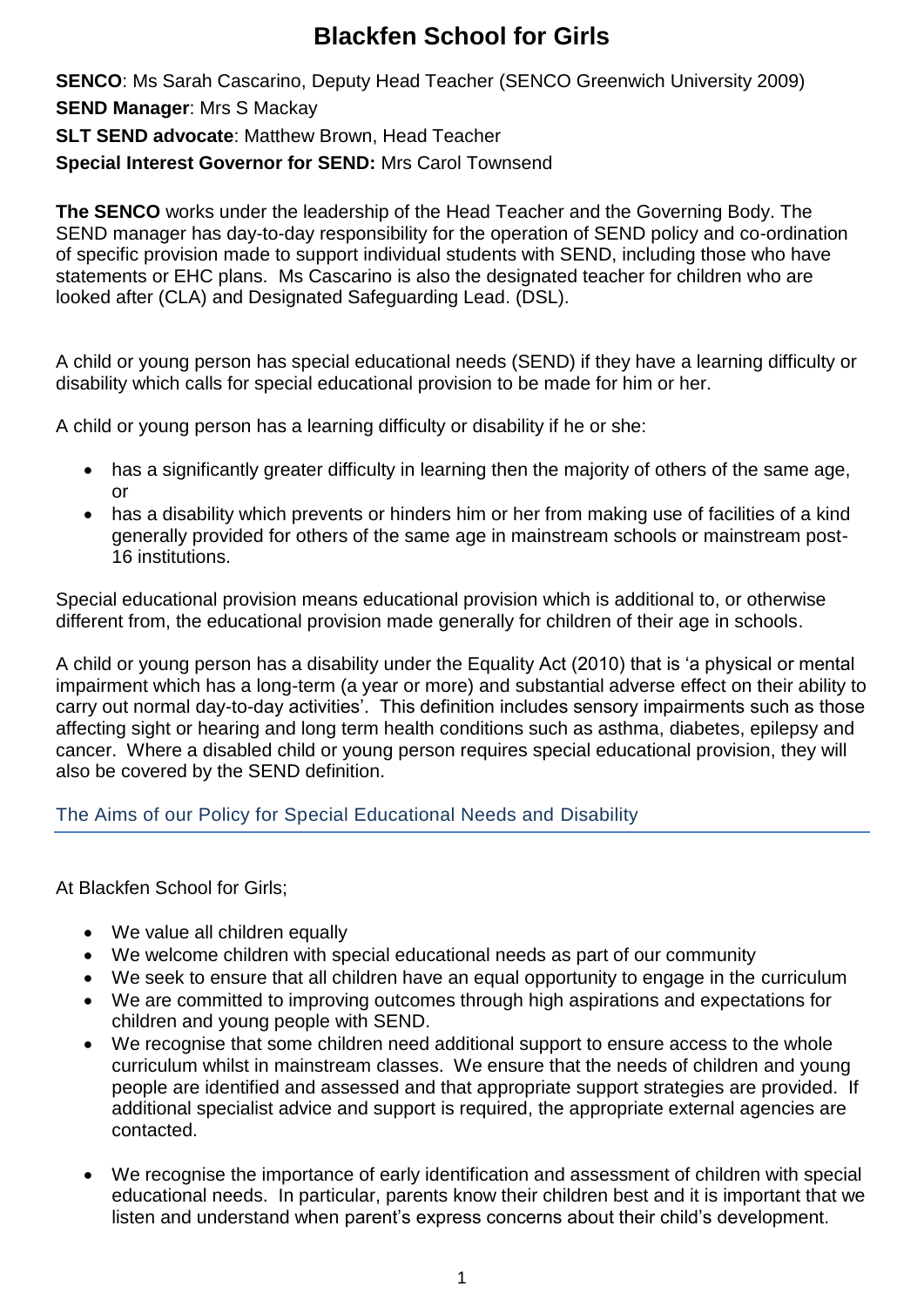**SENCO**: Ms Sarah Cascarino, Deputy Head Teacher (SENCO Greenwich University 2009)

**SEND Manager**: Mrs S Mackay

**SLT SEND advocate**: Matthew Brown, Head Teacher

**Special Interest Governor for SEND:** Mrs Carol Townsend

**The SENCO** works under the leadership of the Head Teacher and the Governing Body. The SEND manager has day-to-day responsibility for the operation of SEND policy and co-ordination of specific provision made to support individual students with SEND, including those who have statements or EHC plans. Ms Cascarino is also the designated teacher for children who are looked after (CLA) and Designated Safeguarding Lead. (DSL).

A child or young person has special educational needs (SEND) if they have a learning difficulty or disability which calls for special educational provision to be made for him or her.

A child or young person has a learning difficulty or disability if he or she:

- has a significantly greater difficulty in learning then the majority of others of the same age, or
- has a disability which prevents or hinders him or her from making use of facilities of a kind generally provided for others of the same age in mainstream schools or mainstream post-16 institutions.

Special educational provision means educational provision which is additional to, or otherwise different from, the educational provision made generally for children of their age in schools.

A child or young person has a disability under the Equality Act (2010) that is 'a physical or mental impairment which has a long-term (a year or more) and substantial adverse effect on their ability to carry out normal day-to-day activities'. This definition includes sensory impairments such as those affecting sight or hearing and long term health conditions such as asthma, diabetes, epilepsy and cancer. Where a disabled child or young person requires special educational provision, they will also be covered by the SEND definition.

The Aims of our Policy for Special Educational Needs and Disability

At Blackfen School for Girls;

- We value all children equally
- We welcome children with special educational needs as part of our community
- We seek to ensure that all children have an equal opportunity to engage in the curriculum
- We are committed to improving outcomes through high aspirations and expectations for children and young people with SEND.
- We recognise that some children need additional support to ensure access to the whole curriculum whilst in mainstream classes. We ensure that the needs of children and young people are identified and assessed and that appropriate support strategies are provided. If additional specialist advice and support is required, the appropriate external agencies are contacted.
- We recognise the importance of early identification and assessment of children with special educational needs. In particular, parents know their children best and it is important that we listen and understand when parent's express concerns about their child's development.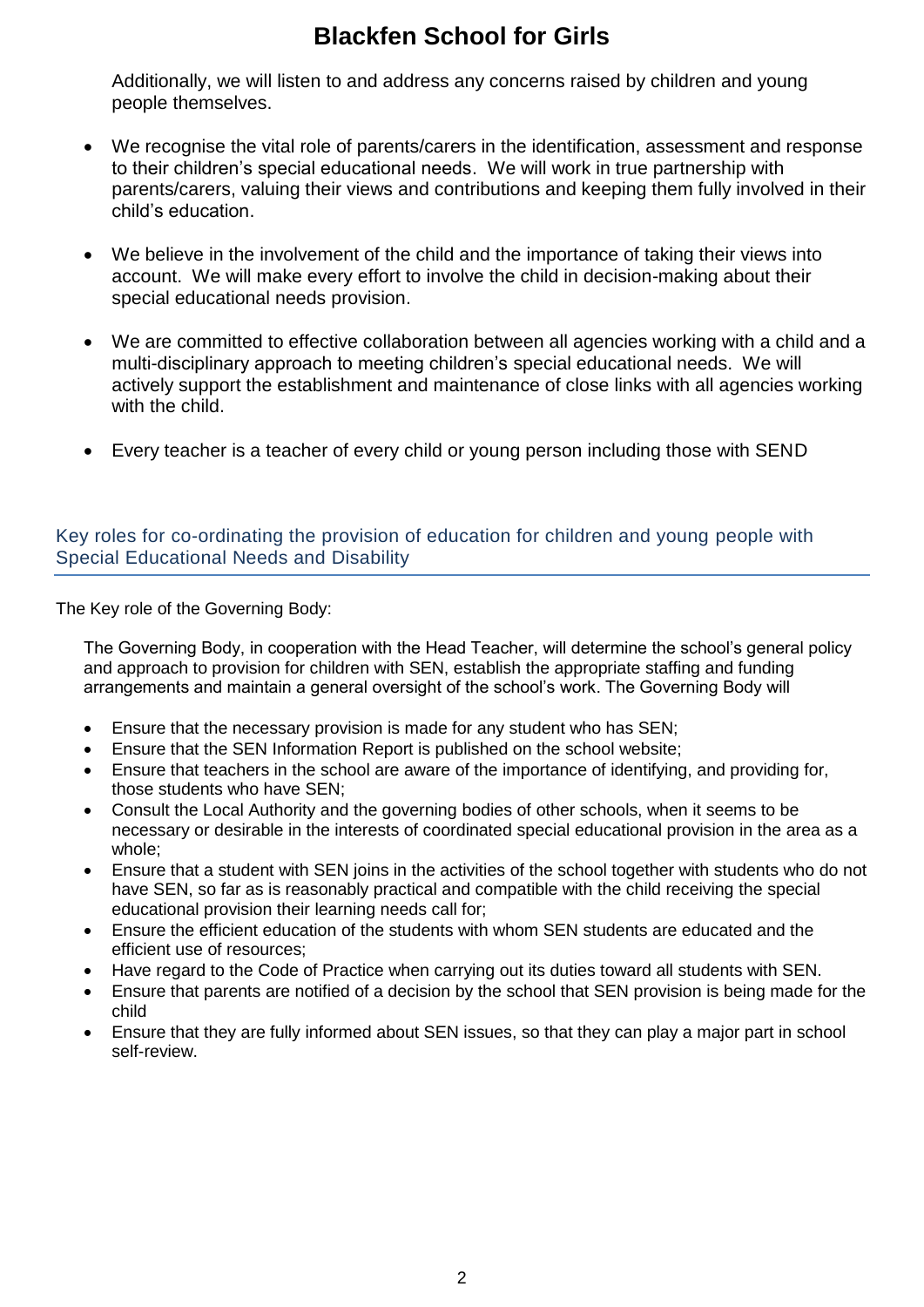Additionally, we will listen to and address any concerns raised by children and young people themselves.

- We recognise the vital role of parents/carers in the identification, assessment and response to their children's special educational needs. We will work in true partnership with parents/carers, valuing their views and contributions and keeping them fully involved in their child's education.
- We believe in the involvement of the child and the importance of taking their views into account. We will make every effort to involve the child in decision-making about their special educational needs provision.
- We are committed to effective collaboration between all agencies working with a child and a multi-disciplinary approach to meeting children's special educational needs. We will actively support the establishment and maintenance of close links with all agencies working with the child.
- Every teacher is a teacher of every child or young person including those with SEND

#### Key roles for co-ordinating the provision of education for children and young people with Special Educational Needs and Disability

The Key role of the Governing Body:

The Governing Body, in cooperation with the Head Teacher, will determine the school's general policy and approach to provision for children with SEN, establish the appropriate staffing and funding arrangements and maintain a general oversight of the school's work. The Governing Body will

- Ensure that the necessary provision is made for any student who has SEN;
- Ensure that the SEN Information Report is published on the school website;
- Ensure that teachers in the school are aware of the importance of identifying, and providing for, those students who have SEN;
- Consult the Local Authority and the governing bodies of other schools, when it seems to be necessary or desirable in the interests of coordinated special educational provision in the area as a whole;
- Ensure that a student with SEN joins in the activities of the school together with students who do not have SEN, so far as is reasonably practical and compatible with the child receiving the special educational provision their learning needs call for;
- Ensure the efficient education of the students with whom SEN students are educated and the efficient use of resources;
- Have regard to the Code of Practice when carrying out its duties toward all students with SEN.
- Ensure that parents are notified of a decision by the school that SEN provision is being made for the child
- Ensure that they are fully informed about SEN issues, so that they can play a major part in school self-review.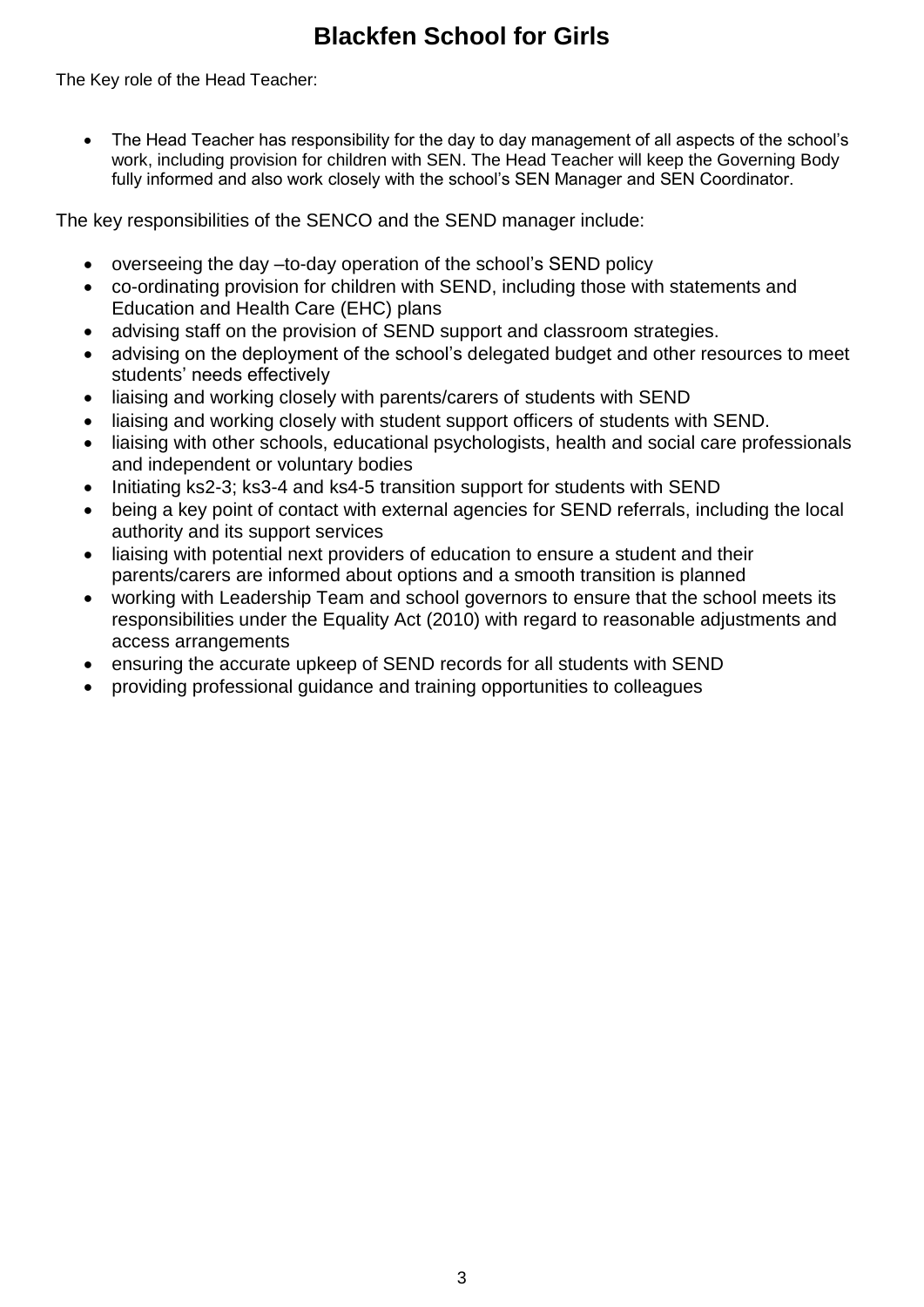The Key role of the Head Teacher:

 The Head Teacher has responsibility for the day to day management of all aspects of the school's work, including provision for children with SEN. The Head Teacher will keep the Governing Body fully informed and also work closely with the school's SEN Manager and SEN Coordinator.

The key responsibilities of the SENCO and the SEND manager include:

- overseeing the day –to-day operation of the school's SEND policy
- co-ordinating provision for children with SEND, including those with statements and Education and Health Care (EHC) plans
- advising staff on the provision of SEND support and classroom strategies.
- advising on the deployment of the school's delegated budget and other resources to meet students' needs effectively
- liaising and working closely with parents/carers of students with SEND
- liaising and working closely with student support officers of students with SEND.
- liaising with other schools, educational psychologists, health and social care professionals and independent or voluntary bodies
- Initiating ks2-3; ks3-4 and ks4-5 transition support for students with SEND
- being a key point of contact with external agencies for SEND referrals, including the local authority and its support services
- liaising with potential next providers of education to ensure a student and their parents/carers are informed about options and a smooth transition is planned
- working with Leadership Team and school governors to ensure that the school meets its responsibilities under the Equality Act (2010) with regard to reasonable adjustments and access arrangements
- ensuring the accurate upkeep of SEND records for all students with SEND
- providing professional guidance and training opportunities to colleagues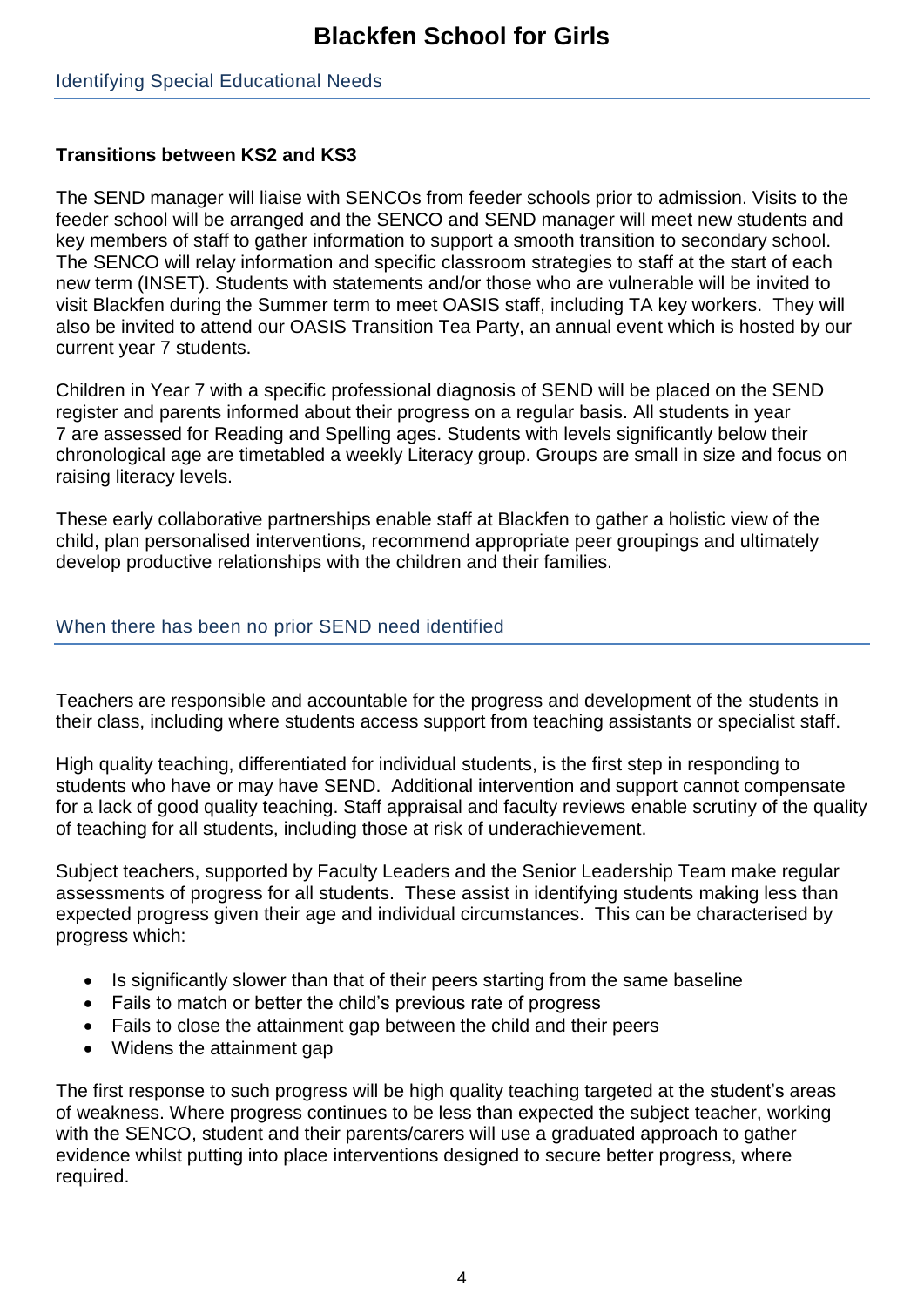#### Identifying Special Educational Needs

### **Transitions between KS2 and KS3**

The SEND manager will liaise with SENCOs from feeder schools prior to admission. Visits to the feeder school will be arranged and the SENCO and SEND manager will meet new students and key members of staff to gather information to support a smooth transition to secondary school. The SENCO will relay information and specific classroom strategies to staff at the start of each new term (INSET). Students with statements and/or those who are vulnerable will be invited to visit Blackfen during the Summer term to meet OASIS staff, including TA key workers. They will also be invited to attend our OASIS Transition Tea Party, an annual event which is hosted by our current year 7 students.

Children in Year 7 with a specific professional diagnosis of SEND will be placed on the SEND register and parents informed about their progress on a regular basis. All students in year 7 are assessed for Reading and Spelling ages. Students with levels significantly below their chronological age are timetabled a weekly Literacy group. Groups are small in size and focus on raising literacy levels.

These early collaborative partnerships enable staff at Blackfen to gather a holistic view of the child, plan personalised interventions, recommend appropriate peer groupings and ultimately develop productive relationships with the children and their families.

### When there has been no prior SEND need identified

Teachers are responsible and accountable for the progress and development of the students in their class, including where students access support from teaching assistants or specialist staff.

High quality teaching, differentiated for individual students, is the first step in responding to students who have or may have SEND. Additional intervention and support cannot compensate for a lack of good quality teaching. Staff appraisal and faculty reviews enable scrutiny of the quality of teaching for all students, including those at risk of underachievement.

Subject teachers, supported by Faculty Leaders and the Senior Leadership Team make regular assessments of progress for all students. These assist in identifying students making less than expected progress given their age and individual circumstances. This can be characterised by progress which:

- Is significantly slower than that of their peers starting from the same baseline
- Fails to match or better the child's previous rate of progress
- Fails to close the attainment gap between the child and their peers
- Widens the attainment gap

The first response to such progress will be high quality teaching targeted at the student's areas of weakness. Where progress continues to be less than expected the subject teacher, working with the SENCO, student and their parents/carers will use a graduated approach to gather evidence whilst putting into place interventions designed to secure better progress, where required.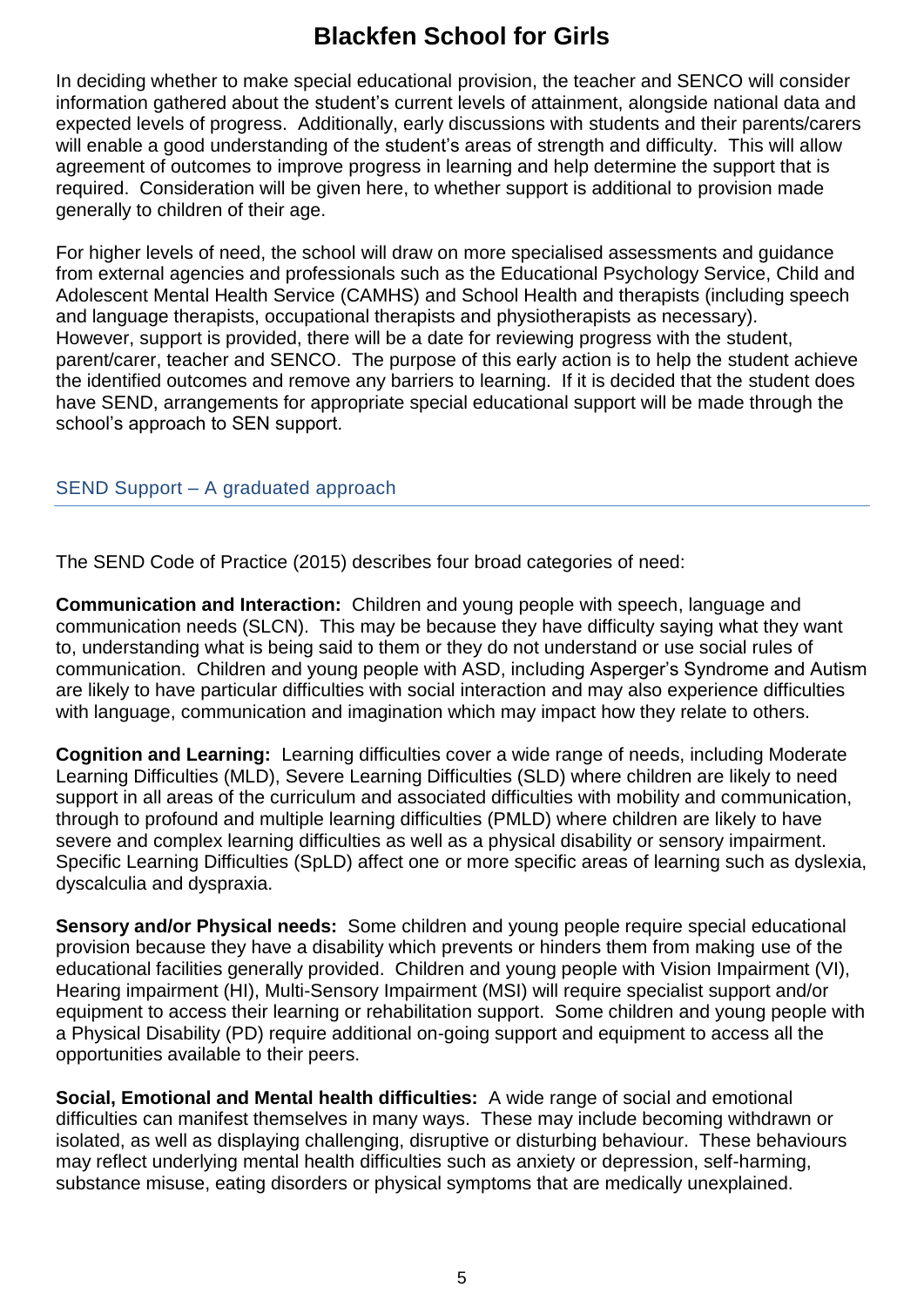In deciding whether to make special educational provision, the teacher and SENCO will consider information gathered about the student's current levels of attainment, alongside national data and expected levels of progress. Additionally, early discussions with students and their parents/carers will enable a good understanding of the student's areas of strength and difficulty. This will allow agreement of outcomes to improve progress in learning and help determine the support that is required. Consideration will be given here, to whether support is additional to provision made generally to children of their age.

For higher levels of need, the school will draw on more specialised assessments and guidance from external agencies and professionals such as the Educational Psychology Service, Child and Adolescent Mental Health Service (CAMHS) and School Health and therapists (including speech and language therapists, occupational therapists and physiotherapists as necessary). However, support is provided, there will be a date for reviewing progress with the student, parent/carer, teacher and SENCO. The purpose of this early action is to help the student achieve the identified outcomes and remove any barriers to learning. If it is decided that the student does have SEND, arrangements for appropriate special educational support will be made through the school's approach to SEN support.

#### SEND Support – A graduated approach

The SEND Code of Practice (2015) describes four broad categories of need:

**Communication and Interaction:** Children and young people with speech, language and communication needs (SLCN). This may be because they have difficulty saying what they want to, understanding what is being said to them or they do not understand or use social rules of communication. Children and young people with ASD, including Asperger's Syndrome and Autism are likely to have particular difficulties with social interaction and may also experience difficulties with language, communication and imagination which may impact how they relate to others.

**Cognition and Learning:** Learning difficulties cover a wide range of needs, including Moderate Learning Difficulties (MLD), Severe Learning Difficulties (SLD) where children are likely to need support in all areas of the curriculum and associated difficulties with mobility and communication, through to profound and multiple learning difficulties (PMLD) where children are likely to have severe and complex learning difficulties as well as a physical disability or sensory impairment. Specific Learning Difficulties (SpLD) affect one or more specific areas of learning such as dyslexia, dyscalculia and dyspraxia.

**Sensory and/or Physical needs:** Some children and young people require special educational provision because they have a disability which prevents or hinders them from making use of the educational facilities generally provided. Children and young people with Vision Impairment (VI), Hearing impairment (HI), Multi-Sensory Impairment (MSI) will require specialist support and/or equipment to access their learning or rehabilitation support. Some children and young people with a Physical Disability (PD) require additional on-going support and equipment to access all the opportunities available to their peers.

**Social, Emotional and Mental health difficulties:** A wide range of social and emotional difficulties can manifest themselves in many ways. These may include becoming withdrawn or isolated, as well as displaying challenging, disruptive or disturbing behaviour. These behaviours may reflect underlying mental health difficulties such as anxiety or depression, self-harming, substance misuse, eating disorders or physical symptoms that are medically unexplained.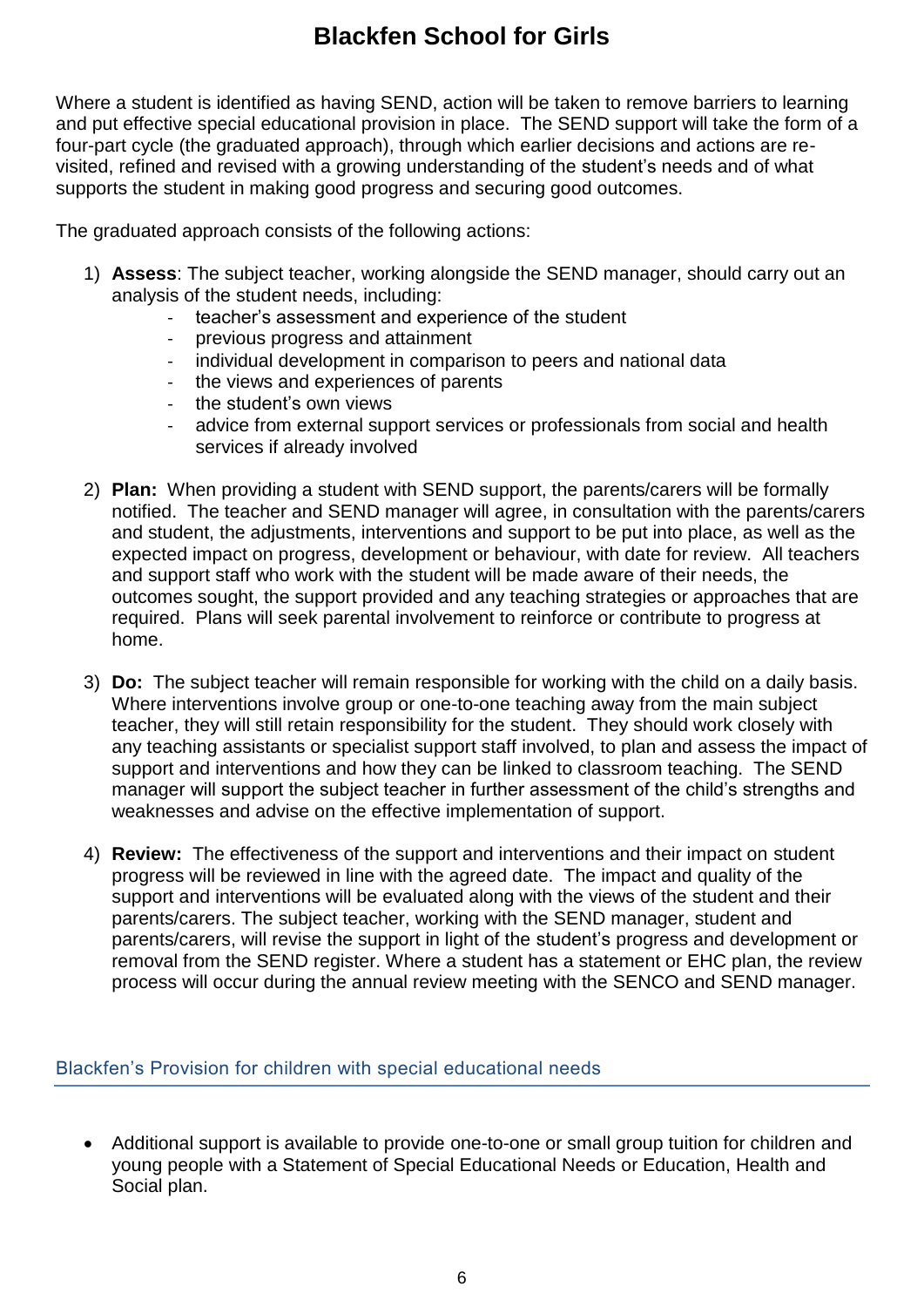Where a student is identified as having SEND, action will be taken to remove barriers to learning and put effective special educational provision in place. The SEND support will take the form of a four-part cycle (the graduated approach), through which earlier decisions and actions are revisited, refined and revised with a growing understanding of the student's needs and of what supports the student in making good progress and securing good outcomes.

The graduated approach consists of the following actions:

- 1) **Assess**: The subject teacher, working alongside the SEND manager, should carry out an analysis of the student needs, including:
	- teacher's assessment and experience of the student
	- previous progress and attainment
	- individual development in comparison to peers and national data
	- the views and experiences of parents
	- the student's own views
	- advice from external support services or professionals from social and health services if already involved
- 2) **Plan:** When providing a student with SEND support, the parents/carers will be formally notified. The teacher and SEND manager will agree, in consultation with the parents/carers and student, the adjustments, interventions and support to be put into place, as well as the expected impact on progress, development or behaviour, with date for review. All teachers and support staff who work with the student will be made aware of their needs, the outcomes sought, the support provided and any teaching strategies or approaches that are required. Plans will seek parental involvement to reinforce or contribute to progress at home.
- 3) **Do:** The subject teacher will remain responsible for working with the child on a daily basis. Where interventions involve group or one-to-one teaching away from the main subject teacher, they will still retain responsibility for the student. They should work closely with any teaching assistants or specialist support staff involved, to plan and assess the impact of support and interventions and how they can be linked to classroom teaching. The SEND manager will support the subject teacher in further assessment of the child's strengths and weaknesses and advise on the effective implementation of support.
- 4) **Review:** The effectiveness of the support and interventions and their impact on student progress will be reviewed in line with the agreed date. The impact and quality of the support and interventions will be evaluated along with the views of the student and their parents/carers. The subject teacher, working with the SEND manager, student and parents/carers, will revise the support in light of the student's progress and development or removal from the SEND register. Where a student has a statement or EHC plan, the review process will occur during the annual review meeting with the SENCO and SEND manager.

#### Blackfen's Provision for children with special educational needs

• Additional support is available to provide one-to-one or small group tuition for children and young people with a Statement of Special Educational Needs or Education, Health and Social plan.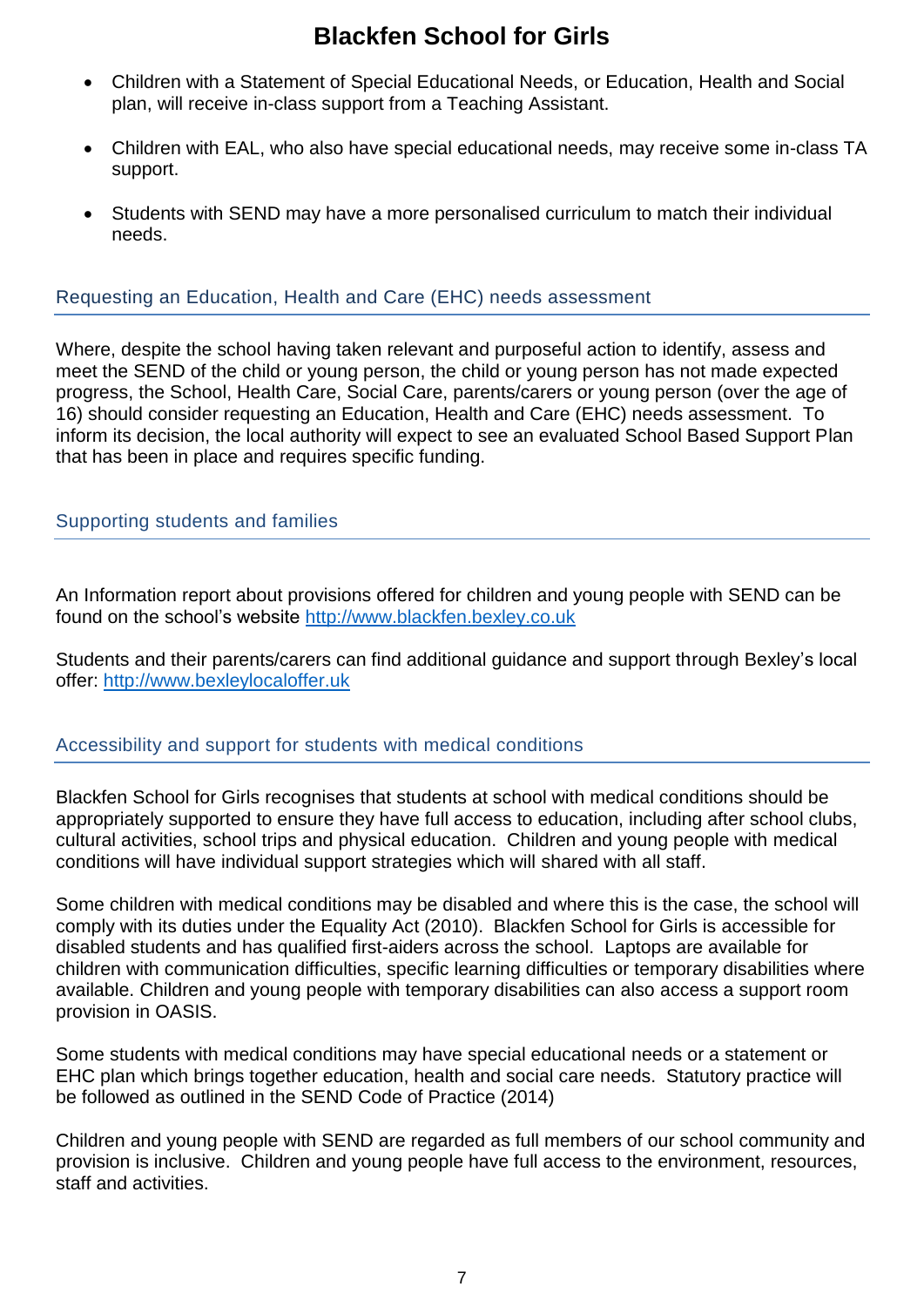- Children with a Statement of Special Educational Needs, or Education, Health and Social plan, will receive in-class support from a Teaching Assistant.
- Children with EAL, who also have special educational needs, may receive some in-class TA support.
- Students with SEND may have a more personalised curriculum to match their individual needs.

#### Requesting an Education, Health and Care (EHC) needs assessment

Where, despite the school having taken relevant and purposeful action to identify, assess and meet the SEND of the child or young person, the child or young person has not made expected progress, the School, Health Care, Social Care, parents/carers or young person (over the age of 16) should consider requesting an Education, Health and Care (EHC) needs assessment. To inform its decision, the local authority will expect to see an evaluated School Based Support Plan that has been in place and requires specific funding.

#### Supporting students and families

An Information report about provisions offered for children and young people with SEND can be found on the school's website [http://www.blackfen.bexley.co.uk](http://www.blackfen.bexley.co.uk/)

Students and their parents/carers can find additional guidance and support through Bexley's local offer: [http://www.bexleylocaloffer.uk](http://www.bexleylocaloffer.uk/)

#### Accessibility and support for students with medical conditions

Blackfen School for Girls recognises that students at school with medical conditions should be appropriately supported to ensure they have full access to education, including after school clubs, cultural activities, school trips and physical education. Children and young people with medical conditions will have individual support strategies which will shared with all staff.

Some children with medical conditions may be disabled and where this is the case, the school will comply with its duties under the Equality Act (2010). Blackfen School for Girls is accessible for disabled students and has qualified first-aiders across the school. Laptops are available for children with communication difficulties, specific learning difficulties or temporary disabilities where available. Children and young people with temporary disabilities can also access a support room provision in OASIS.

Some students with medical conditions may have special educational needs or a statement or EHC plan which brings together education, health and social care needs. Statutory practice will be followed as outlined in the SEND Code of Practice (2014)

Children and young people with SEND are regarded as full members of our school community and provision is inclusive. Children and young people have full access to the environment, resources, staff and activities.